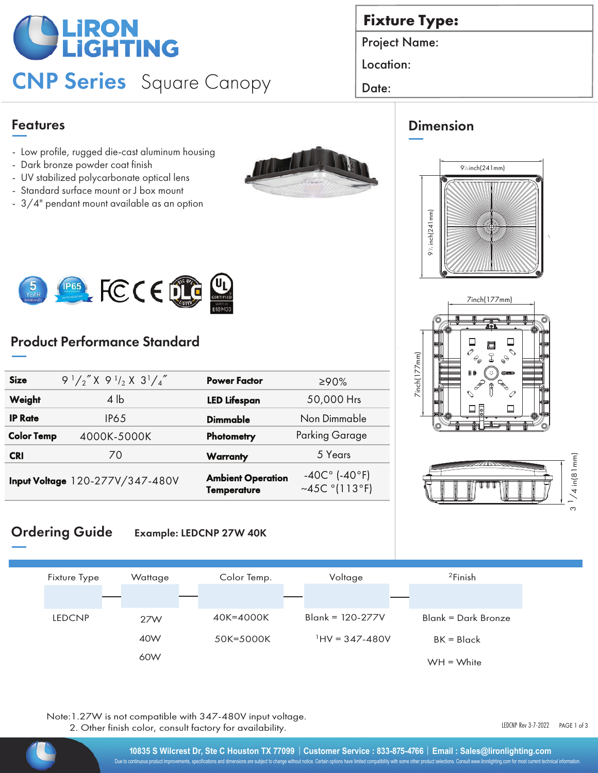# **LIRON<br>PLIGHTING**

## CNP Series Square Canopy Date:

### Features

- Low profile, rugged die-cast aluminum housing
- Dark bronze powder coat finish
- UV stabilized polycarbonate optical lens
- Standard surface mount or J box mount
- 3/4" pendant mount available as an option





## Product Performance Standard

| <b>Size</b>       | $9^{1}/2''$ X $9^{1}/2$ X $3^{1}/4''$ | <b>Power Factor</b>                            | ≥90%                                                  |
|-------------------|---------------------------------------|------------------------------------------------|-------------------------------------------------------|
| Weight            | $4 \,$ lb                             | <b>LED Lifespan</b>                            | 50,000 Hrs                                            |
| <b>IP Rate</b>    | IP65                                  | Dimmable                                       | Non Dimmable                                          |
| <b>Color Temp</b> | 4000K-5000K                           | Photometry                                     | <b>Parking Garage</b>                                 |
| <b>CRI</b>        | 70                                    | <b>Warranty</b>                                | 5 Years                                               |
|                   | Input Voltage 120-277V/347-480V       | <b>Ambient Operation</b><br><b>Temperature</b> | $-40C° (-40°F)$<br>~45C $^{\circ}$ (113 $^{\circ}$ F) |

## **Fixture Type:**

Project Name:

Location:

## Dimension







#### Ordering Guide Example: LEDCNP 27W 40K



Note:1.27W is not compatible with 347-480V input voltage. 2. Other finish color, consult factory for availability.

LEDCNP Rev 3-7-2022 PAGE 1 of 3

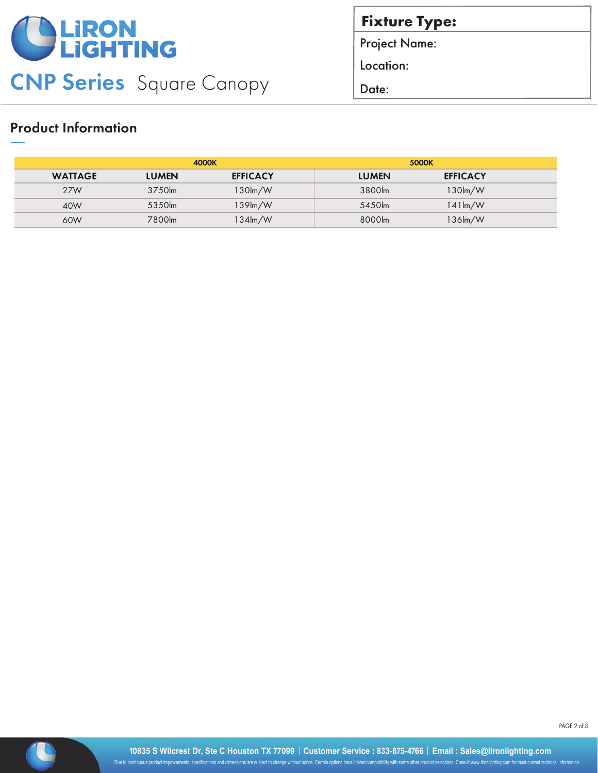

**Fixture Type:**

Project Name:

Location:

#### Product Information

|                | 4000K        |                   | 5000K        |                      |  |
|----------------|--------------|-------------------|--------------|----------------------|--|
| <b>WATTAGE</b> | <b>LUMEN</b> | <b>EFFICACY</b>   | <b>LUMEN</b> | <b>EFFICACY</b>      |  |
| 27W            | 3750lm       | 130lm/W           | 3800lm       | 130lm/W              |  |
| 40W            | 5350lm       | $139$ m/W         | 5450lm       | $141 \mathrm{Im} /W$ |  |
| 60W            | 7800lm       | $134 \text{Im/W}$ | 8000lm       | 136lm/W              |  |